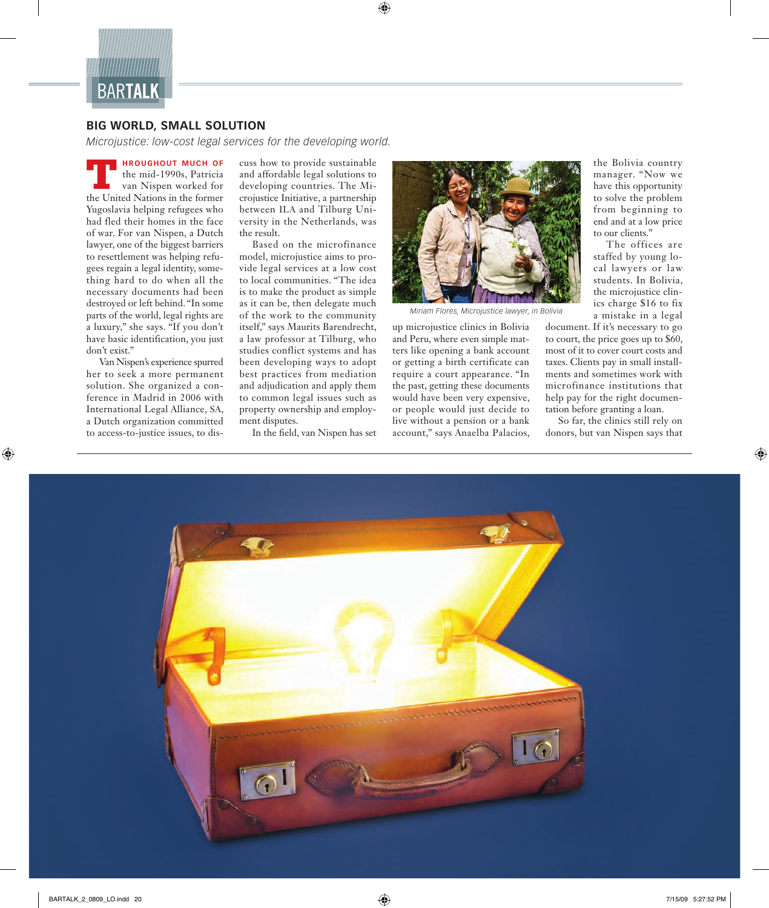

## **BIG WORLD, SMALL SOLUTION**

*Microjustice: low-cost legal services for the developing world.*

**HROUGHOUT MUCH OF**  the mid-1990s, Patricia van Nispen worked for **THE CONSERVANCE IN THE EXECUTER THE UNITED STATES IN THE UNITED STATES IN THE UNITED STATES IN THE UNITED STATES IN THE FORMATION IS A SET OF THE UNITED STATES IN THE STATES IN THE STATES IN THE STATES IN THE STATES IN TH** Yugoslavia helping refugees who had fled their homes in the face of war. For van Nispen, a Dutch lawyer, one of the biggest barriers to resettlement was helping refugees regain a legal identity, something hard to do when all the necessary documents had been destroyed or left behind. "In some parts of the world, legal rights are a luxury," she says. "If you don't have basic identification, you just don't exist."

Van Nispen's experience spurred her to seek a more permanent solution. She organized a conference in Madrid in 2006 with In ternational Legal Alliance, SA, a Dutch organization committed to access-to-justice issues, to discuss how to provide sustainable and affordable legal solutions to developing countries. The Microjustice Initiative, a partnership between ILA and Tilburg University in the Netherlands, was the result.

Based on the microfinance model, microjustice aims to provide legal services at a low cost to local communities. "The idea is to make the product as simple as it can be, then delegate much of the work to the community itself," says Maurits Barendrecht, a law professor at Tilburg, who studies conflict systems and has been developing ways to adopt best practices from mediation and adjudication and apply them to common legal issues such as property ownership and employment disputes.

In the field, van Nispen has set



*Miriam Flores, Microjustice lawyer, in Bolivia*

up microjustice clinics in Bolivia and Peru, where even simple matters like opening a bank account or getting a birth certificate can require a court appearance. "In the past, getting these documents would have been very expensive, or people would just decide to live without a pension or a bank account," says Anaelba Palacios,

the Bolivia country manager. "Now we have this opportunity to solve the problem from beginning to end and at a low price to our clients."

The offices are staffed by young local lawyers or law students. In Bolivia, the microjustice clinics charge \$16 to fix a mistake in a legal

document. If it's necessary to go to court, the price goes up to \$60, most of it to cover court costs and taxes. Clients pay in small installments and sometimes work with microfinance institutions that help pay for the right documentation before granting a loan.

So far, the clinics still rely on donors, but van Nispen says that